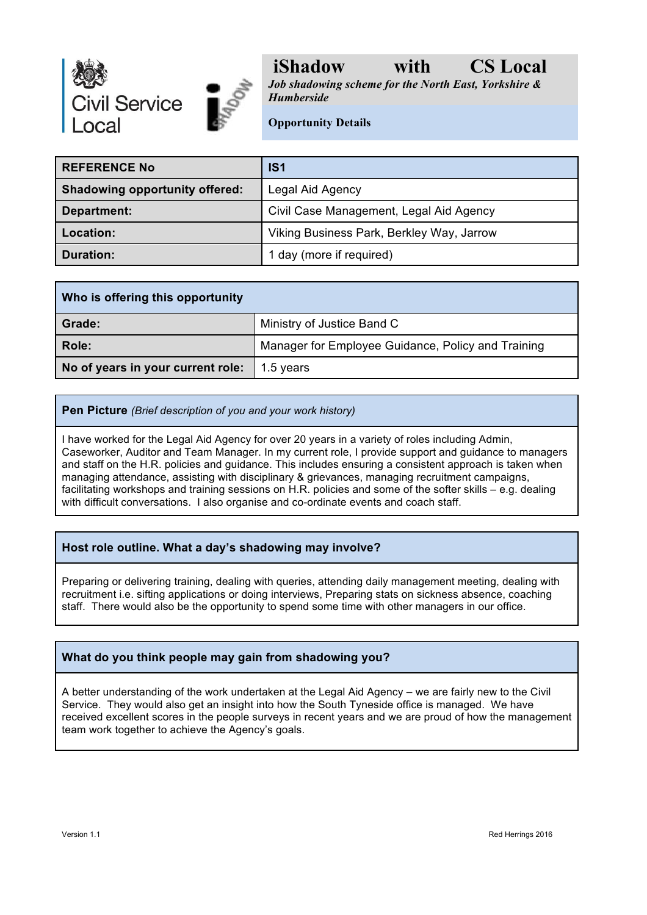

*Job shadowing scheme for the North East, Yorkshire & Humberside*

**Opportunity Details**

| <b>REFERENCE No</b>                   | IS <sub>1</sub>                           |
|---------------------------------------|-------------------------------------------|
| <b>Shadowing opportunity offered:</b> | Legal Aid Agency                          |
| <b>Department:</b>                    | Civil Case Management, Legal Aid Agency   |
| Location:                             | Viking Business Park, Berkley Way, Jarrow |
| Duration:                             | 1 day (more if required)                  |

| Who is offering this opportunity  |                                                    |
|-----------------------------------|----------------------------------------------------|
| Grade:                            | Ministry of Justice Band C                         |
| Role:                             | Manager for Employee Guidance, Policy and Training |
| No of years in your current role: | 1.5 years                                          |

**Pen Picture** *(Brief description of you and your work history)*

I have worked for the Legal Aid Agency for over 20 years in a variety of roles including Admin, Caseworker, Auditor and Team Manager. In my current role, I provide support and guidance to managers and staff on the H.R. policies and guidance. This includes ensuring a consistent approach is taken when managing attendance, assisting with disciplinary & grievances, managing recruitment campaigns, facilitating workshops and training sessions on H.R. policies and some of the softer skills – e.g. dealing with difficult conversations. I also organise and co-ordinate events and coach staff.

#### **Host role outline. What a day's shadowing may involve?**

Preparing or delivering training, dealing with queries, attending daily management meeting, dealing with recruitment i.e. sifting applications or doing interviews, Preparing stats on sickness absence, coaching staff. There would also be the opportunity to spend some time with other managers in our office.

#### **What do you think people may gain from shadowing you?**

A better understanding of the work undertaken at the Legal Aid Agency – we are fairly new to the Civil Service. They would also get an insight into how the South Tyneside office is managed. We have received excellent scores in the people surveys in recent years and we are proud of how the management team work together to achieve the Agency's goals.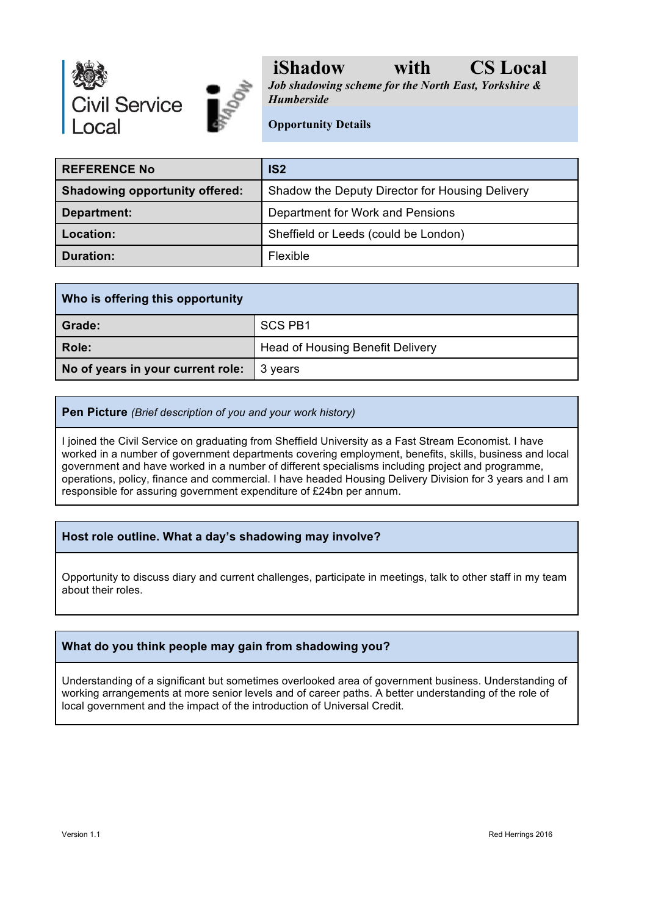



*Job shadowing scheme for the North East, Yorkshire & Humberside*

**Opportunity Details**

| <b>REFERENCE No</b>                   | IS <sub>2</sub>                                 |
|---------------------------------------|-------------------------------------------------|
| <b>Shadowing opportunity offered:</b> | Shadow the Deputy Director for Housing Delivery |
| Department:                           | Department for Work and Pensions                |
| Location:                             | Sheffield or Leeds (could be London)            |
| Duration:                             | <b>Flexible</b>                                 |

| Who is offering this opportunity  |                                  |
|-----------------------------------|----------------------------------|
| Grade:                            | <b>SCS PB1</b>                   |
| Role:                             | Head of Housing Benefit Delivery |
| No of years in your current role: | 3 years                          |

#### **Pen Picture** *(Brief description of you and your work history)*

I joined the Civil Service on graduating from Sheffield University as a Fast Stream Economist. I have worked in a number of government departments covering employment, benefits, skills, business and local government and have worked in a number of different specialisms including project and programme, operations, policy, finance and commercial. I have headed Housing Delivery Division for 3 years and I am responsible for assuring government expenditure of £24bn per annum.

#### **Host role outline. What a day's shadowing may involve?**

Opportunity to discuss diary and current challenges, participate in meetings, talk to other staff in my team about their roles.

#### **What do you think people may gain from shadowing you?**

Understanding of a significant but sometimes overlooked area of government business. Understanding of working arrangements at more senior levels and of career paths. A better understanding of the role of local government and the impact of the introduction of Universal Credit.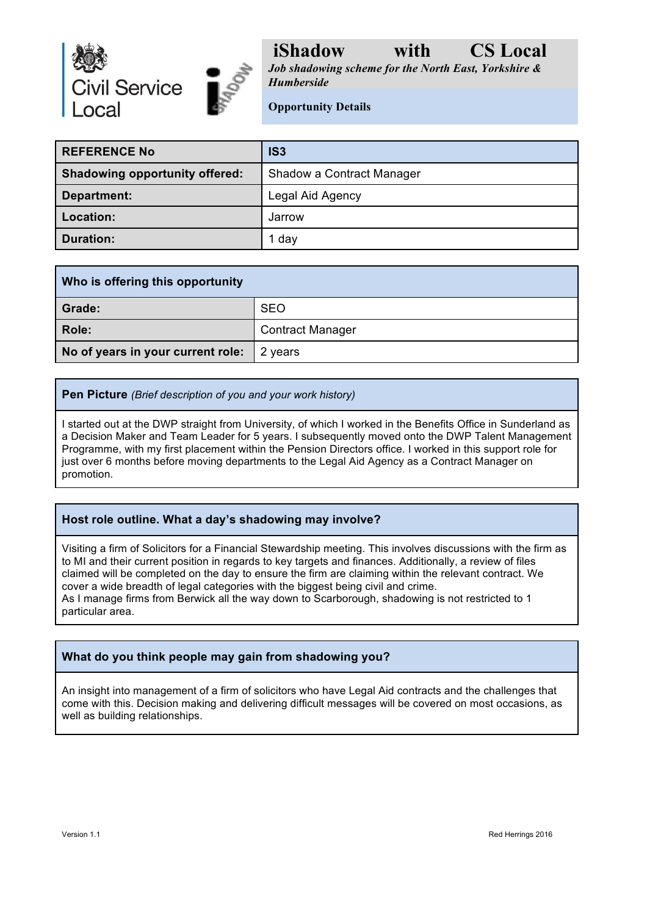

*Job shadowing scheme for the North East, Yorkshire & Humberside*

**Opportunity Details**

| <b>REFERENCE No</b>                   | IS3                       |
|---------------------------------------|---------------------------|
| <b>Shadowing opportunity offered:</b> | Shadow a Contract Manager |
| Department:                           | Legal Aid Agency          |
| Location:                             | Jarrow                    |
| <b>Duration:</b>                      | 1 day                     |

| Who is offering this opportunity  |                         |
|-----------------------------------|-------------------------|
| Grade:                            | <b>SEO</b>              |
| Role:                             | <b>Contract Manager</b> |
| No of years in your current role: | 2 years                 |

#### **Pen Picture** *(Brief description of you and your work history)*

I started out at the DWP straight from University, of which I worked in the Benefits Office in Sunderland as a Decision Maker and Team Leader for 5 years. I subsequently moved onto the DWP Talent Management Programme, with my first placement within the Pension Directors office. I worked in this support role for just over 6 months before moving departments to the Legal Aid Agency as a Contract Manager on promotion.

#### **Host role outline. What a day's shadowing may involve?**

Visiting a firm of Solicitors for a Financial Stewardship meeting. This involves discussions with the firm as to MI and their current position in regards to key targets and finances. Additionally, a review of files claimed will be completed on the day to ensure the firm are claiming within the relevant contract. We cover a wide breadth of legal categories with the biggest being civil and crime. As I manage firms from Berwick all the way down to Scarborough, shadowing is not restricted to 1 particular area.

#### **What do you think people may gain from shadowing you?**

An insight into management of a firm of solicitors who have Legal Aid contracts and the challenges that come with this. Decision making and delivering difficult messages will be covered on most occasions, as well as building relationships.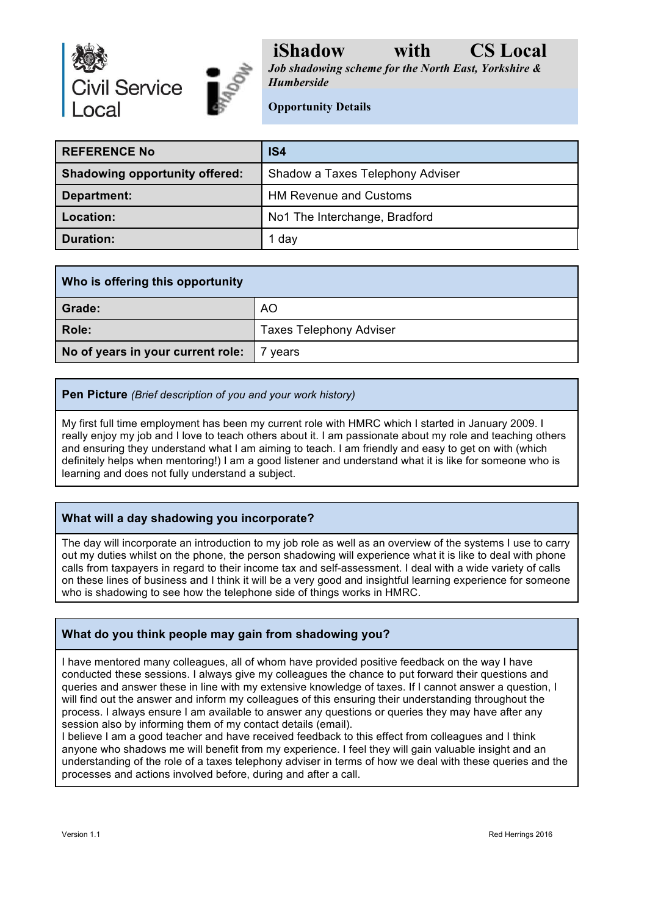

*Job shadowing scheme for the North East, Yorkshire & Humberside*

#### **Opportunity Details**

| <b>REFERENCE No</b>                   | IS <sub>4</sub>                  |
|---------------------------------------|----------------------------------|
| <b>Shadowing opportunity offered:</b> | Shadow a Taxes Telephony Adviser |
| Department:                           | <b>HM Revenue and Customs</b>    |
| Location:                             | No1 The Interchange, Bradford    |
| <b>Duration:</b>                      | 1 day                            |

| Who is offering this opportunity  |                                |
|-----------------------------------|--------------------------------|
| Grade:                            | A <sub>O</sub>                 |
| Role:                             | <b>Taxes Telephony Adviser</b> |
| No of years in your current role: | vears                          |

#### **Pen Picture** *(Brief description of you and your work history)*

My first full time employment has been my current role with HMRC which I started in January 2009. I really enjoy my job and I love to teach others about it. I am passionate about my role and teaching others and ensuring they understand what I am aiming to teach. I am friendly and easy to get on with (which definitely helps when mentoring!) I am a good listener and understand what it is like for someone who is learning and does not fully understand a subject.

#### **What will a day shadowing you incorporate?**

The day will incorporate an introduction to my job role as well as an overview of the systems I use to carry out my duties whilst on the phone, the person shadowing will experience what it is like to deal with phone calls from taxpayers in regard to their income tax and self-assessment. I deal with a wide variety of calls on these lines of business and I think it will be a very good and insightful learning experience for someone who is shadowing to see how the telephone side of things works in HMRC.

#### **What do you think people may gain from shadowing you?**

I have mentored many colleagues, all of whom have provided positive feedback on the way I have conducted these sessions. I always give my colleagues the chance to put forward their questions and queries and answer these in line with my extensive knowledge of taxes. If I cannot answer a question, I will find out the answer and inform my colleagues of this ensuring their understanding throughout the process. I always ensure I am available to answer any questions or queries they may have after any session also by informing them of my contact details (email).

I believe I am a good teacher and have received feedback to this effect from colleagues and I think anyone who shadows me will benefit from my experience. I feel they will gain valuable insight and an understanding of the role of a taxes telephony adviser in terms of how we deal with these queries and the processes and actions involved before, during and after a call.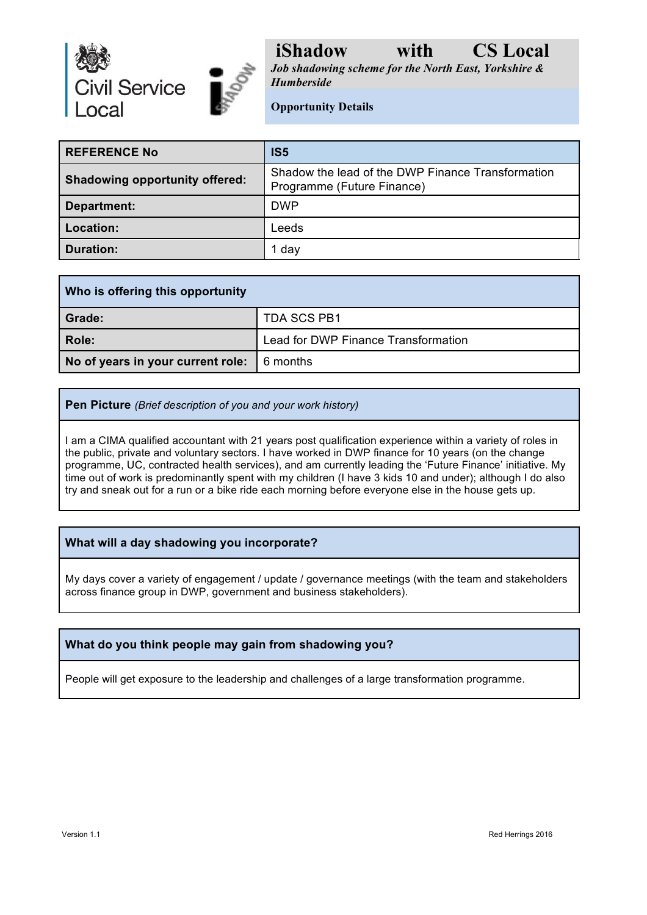

*Job shadowing scheme for the North East, Yorkshire & Humberside*

**Opportunity Details**

| <b>REFERENCE No</b>                   | IS <sub>5</sub>                                                                 |
|---------------------------------------|---------------------------------------------------------------------------------|
| <b>Shadowing opportunity offered:</b> | Shadow the lead of the DWP Finance Transformation<br>Programme (Future Finance) |
| Department:                           | <b>DWP</b>                                                                      |
| Location:                             | Leeds                                                                           |
| <b>Duration:</b>                      | 1 day                                                                           |

| Who is offering this opportunity           |                                     |
|--------------------------------------------|-------------------------------------|
| Grade:                                     | <b>TDA SCS PB1</b>                  |
| Role:                                      | Lead for DWP Finance Transformation |
| No of years in your current role: 6 months |                                     |

#### **Pen Picture** *(Brief description of you and your work history)*

I am a CIMA qualified accountant with 21 years post qualification experience within a variety of roles in the public, private and voluntary sectors. I have worked in DWP finance for 10 years (on the change programme, UC, contracted health services), and am currently leading the 'Future Finance' initiative. My time out of work is predominantly spent with my children (I have 3 kids 10 and under); although I do also try and sneak out for a run or a bike ride each morning before everyone else in the house gets up.

#### **What will a day shadowing you incorporate?**

My days cover a variety of engagement / update / governance meetings (with the team and stakeholders across finance group in DWP, government and business stakeholders).

#### **What do you think people may gain from shadowing you?**

People will get exposure to the leadership and challenges of a large transformation programme.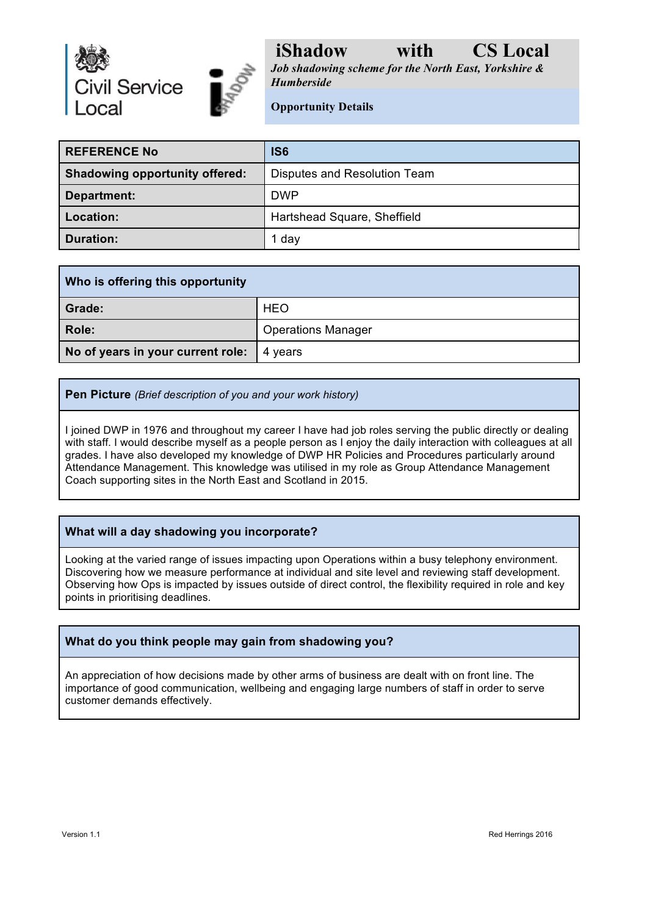

*Job shadowing scheme for the North East, Yorkshire & Humberside*

**Opportunity Details**

| <b>REFERENCE No</b>                   | IS6                          |
|---------------------------------------|------------------------------|
| <b>Shadowing opportunity offered:</b> | Disputes and Resolution Team |
| Department:                           | <b>DWP</b>                   |
| Location:                             | Hartshead Square, Sheffield  |
| <b>Duration:</b>                      | 1 day                        |

| Who is offering this opportunity  |                           |
|-----------------------------------|---------------------------|
| Grade:                            | <b>HEO</b>                |
| Role:                             | <b>Operations Manager</b> |
| No of years in your current role: | 4 years                   |

**Pen Picture** *(Brief description of you and your work history)*

I joined DWP in 1976 and throughout my career I have had job roles serving the public directly or dealing with staff. I would describe myself as a people person as I enjoy the daily interaction with colleagues at all grades. I have also developed my knowledge of DWP HR Policies and Procedures particularly around Attendance Management. This knowledge was utilised in my role as Group Attendance Management Coach supporting sites in the North East and Scotland in 2015.

#### **What will a day shadowing you incorporate?**

Looking at the varied range of issues impacting upon Operations within a busy telephony environment. Discovering how we measure performance at individual and site level and reviewing staff development. Observing how Ops is impacted by issues outside of direct control, the flexibility required in role and key points in prioritising deadlines.

#### **What do you think people may gain from shadowing you?**

An appreciation of how decisions made by other arms of business are dealt with on front line. The importance of good communication, wellbeing and engaging large numbers of staff in order to serve customer demands effectively.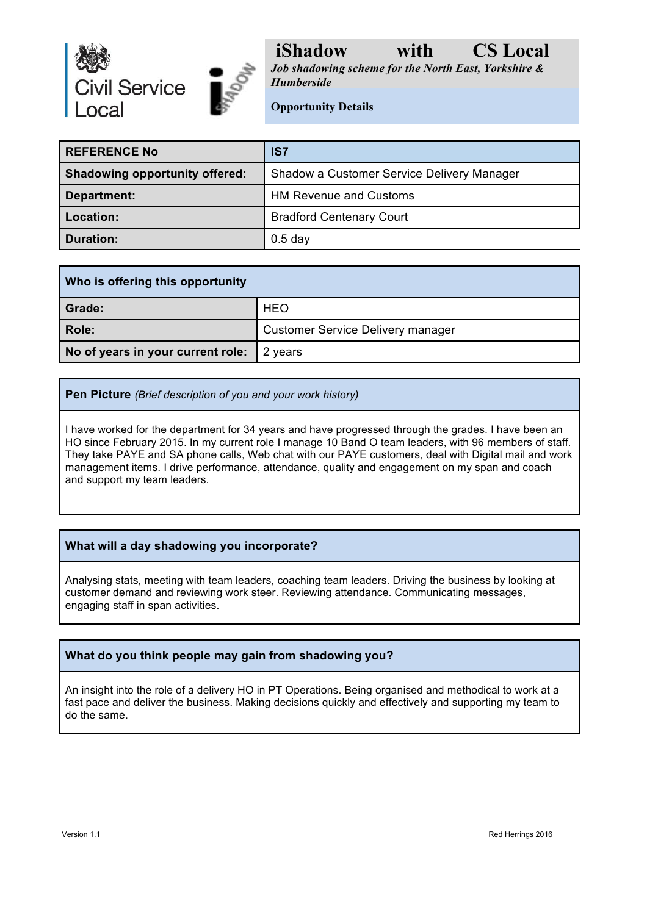

*Job shadowing scheme for the North East, Yorkshire & Humberside*

**Opportunity Details**

| <b>REFERENCE No</b>                   | IS7                                        |
|---------------------------------------|--------------------------------------------|
| <b>Shadowing opportunity offered:</b> | Shadow a Customer Service Delivery Manager |
| Department:                           | <b>HM Revenue and Customs</b>              |
| Location:                             | <b>Bradford Centenary Court</b>            |
| <b>Duration:</b>                      | $0.5$ day                                  |

| Who is offering this opportunity            |                                          |
|---------------------------------------------|------------------------------------------|
| Grade:                                      | <b>HEO</b>                               |
| Role:                                       | <b>Customer Service Delivery manager</b> |
| No of years in your current role:   2 years |                                          |

**Pen Picture** *(Brief description of you and your work history)*

I have worked for the department for 34 years and have progressed through the grades. I have been an HO since February 2015. In my current role I manage 10 Band O team leaders, with 96 members of staff. They take PAYE and SA phone calls, Web chat with our PAYE customers, deal with Digital mail and work management items. I drive performance, attendance, quality and engagement on my span and coach and support my team leaders.

#### **What will a day shadowing you incorporate?**

Analysing stats, meeting with team leaders, coaching team leaders. Driving the business by looking at customer demand and reviewing work steer. Reviewing attendance. Communicating messages, engaging staff in span activities.

#### **What do you think people may gain from shadowing you?**

An insight into the role of a delivery HO in PT Operations. Being organised and methodical to work at a fast pace and deliver the business. Making decisions quickly and effectively and supporting my team to do the same.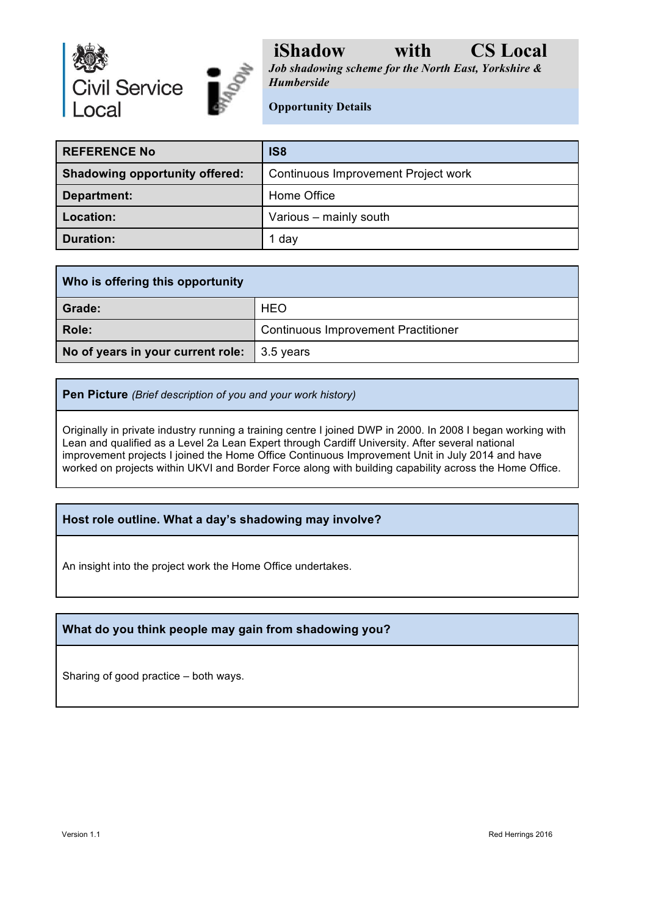

*Job shadowing scheme for the North East, Yorkshire & Humberside*

**Opportunity Details**

| <b>REFERENCE No</b>                   | IS8                                 |
|---------------------------------------|-------------------------------------|
| <b>Shadowing opportunity offered:</b> | Continuous Improvement Project work |
| Department:                           | Home Office                         |
| Location:                             | Various - mainly south              |
| <b>Duration:</b>                      | 1 day                               |

| Who is offering this opportunity              |                                            |
|-----------------------------------------------|--------------------------------------------|
| Grade:                                        | <b>HEO</b>                                 |
| Role:                                         | <b>Continuous Improvement Practitioner</b> |
| No of years in your current role:   3.5 years |                                            |

**Pen Picture** *(Brief description of you and your work history)*

Originally in private industry running a training centre I joined DWP in 2000. In 2008 I began working with Lean and qualified as a Level 2a Lean Expert through Cardiff University. After several national improvement projects I joined the Home Office Continuous Improvement Unit in July 2014 and have worked on projects within UKVI and Border Force along with building capability across the Home Office.

**Host role outline. What a day's shadowing may involve?** 

An insight into the project work the Home Office undertakes.

#### **What do you think people may gain from shadowing you?**

Sharing of good practice – both ways.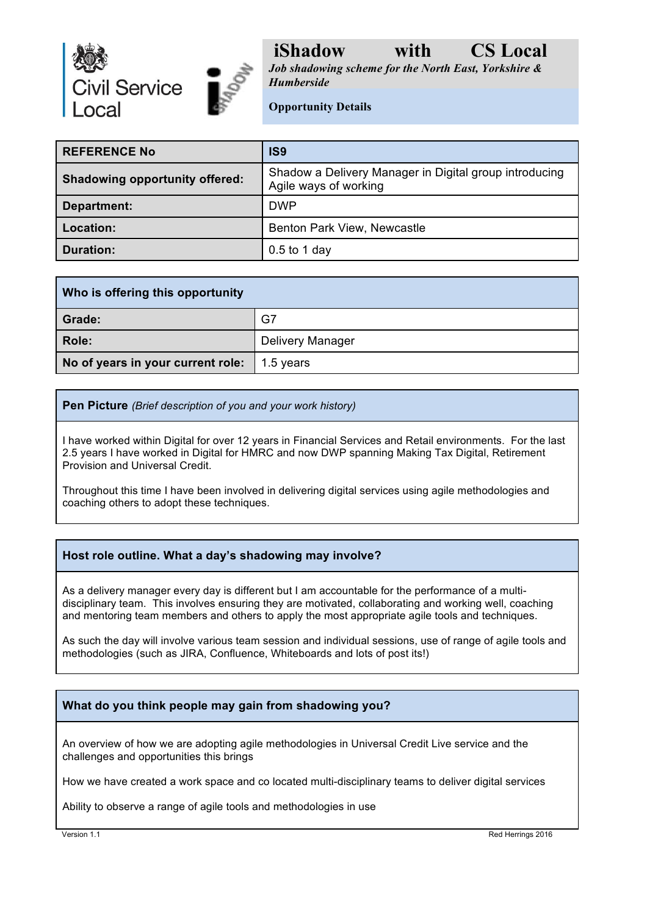

*Job shadowing scheme for the North East, Yorkshire & Humberside*

**Opportunity Details**

| <b>REFERENCE No</b>                   | IS <sub>9</sub>                                                                 |
|---------------------------------------|---------------------------------------------------------------------------------|
| <b>Shadowing opportunity offered:</b> | Shadow a Delivery Manager in Digital group introducing<br>Agile ways of working |
| Department:                           | <b>DWP</b>                                                                      |
| Location:                             | Benton Park View, Newcastle                                                     |
| <b>Duration:</b>                      | $0.5$ to 1 day                                                                  |

| Who is offering this opportunity  |                  |
|-----------------------------------|------------------|
| Grade:                            | G7               |
| Role:                             | Delivery Manager |
| No of years in your current role: | 1.5 years        |

**Pen Picture** *(Brief description of you and your work history)*

I have worked within Digital for over 12 years in Financial Services and Retail environments. For the last 2.5 years I have worked in Digital for HMRC and now DWP spanning Making Tax Digital, Retirement Provision and Universal Credit.

Throughout this time I have been involved in delivering digital services using agile methodologies and coaching others to adopt these techniques.

#### **Host role outline. What a day's shadowing may involve?**

As a delivery manager every day is different but I am accountable for the performance of a multidisciplinary team. This involves ensuring they are motivated, collaborating and working well, coaching and mentoring team members and others to apply the most appropriate agile tools and techniques.

As such the day will involve various team session and individual sessions, use of range of agile tools and methodologies (such as JIRA, Confluence, Whiteboards and lots of post its!)

#### **What do you think people may gain from shadowing you?**

An overview of how we are adopting agile methodologies in Universal Credit Live service and the challenges and opportunities this brings

How we have created a work space and co located multi-disciplinary teams to deliver digital services

Ability to observe a range of agile tools and methodologies in use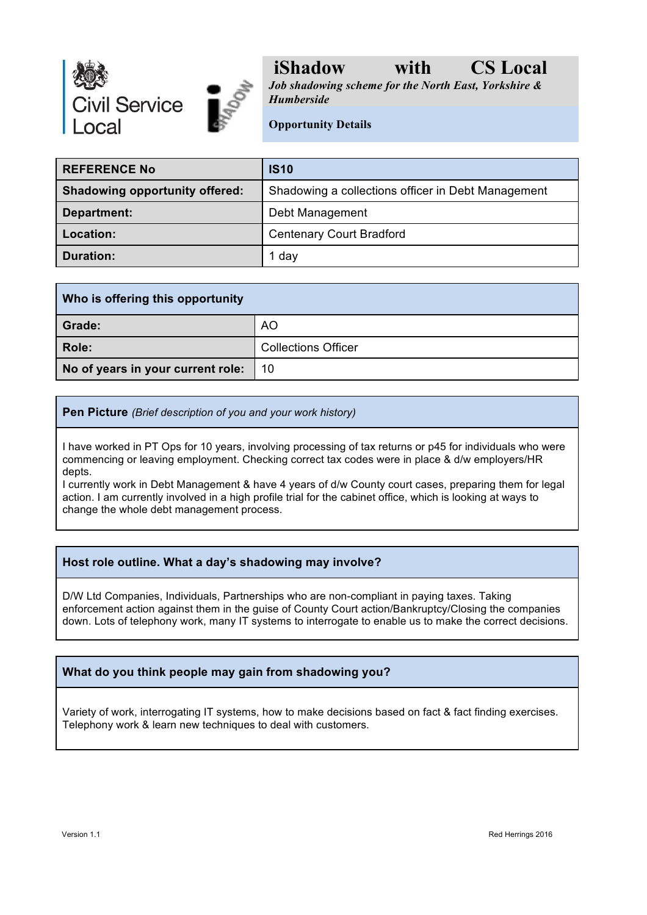

*Job shadowing scheme for the North East, Yorkshire & Humberside*

**Opportunity Details**

| <b>REFERENCE No</b>                   | <b>IS10</b>                                        |
|---------------------------------------|----------------------------------------------------|
| <b>Shadowing opportunity offered:</b> | Shadowing a collections officer in Debt Management |
| Department:                           | Debt Management                                    |
| Location:                             | <b>Centenary Court Bradford</b>                    |
| <b>Duration:</b>                      | 1 day                                              |

| Who is offering this opportunity  |                            |
|-----------------------------------|----------------------------|
| Grade:                            | AO                         |
| Role:                             | <b>Collections Officer</b> |
| No of years in your current role: | 10                         |

**Pen Picture** *(Brief description of you and your work history)*

I have worked in PT Ops for 10 years, involving processing of tax returns or p45 for individuals who were commencing or leaving employment. Checking correct tax codes were in place & d/w employers/HR depts.

I currently work in Debt Management & have 4 years of d/w County court cases, preparing them for legal action. I am currently involved in a high profile trial for the cabinet office, which is looking at ways to change the whole debt management process.

#### **Host role outline. What a day's shadowing may involve?**

D/W Ltd Companies, Individuals, Partnerships who are non-compliant in paying taxes. Taking enforcement action against them in the guise of County Court action/Bankruptcy/Closing the companies down. Lots of telephony work, many IT systems to interrogate to enable us to make the correct decisions.

#### **What do you think people may gain from shadowing you?**

Variety of work, interrogating IT systems, how to make decisions based on fact & fact finding exercises. Telephony work & learn new techniques to deal with customers.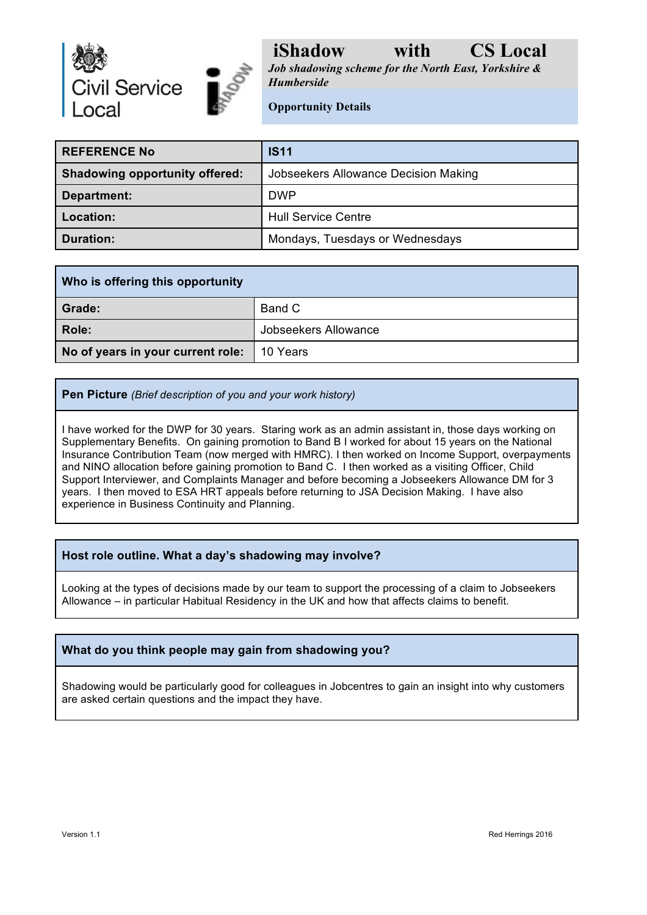

*Job shadowing scheme for the North East, Yorkshire & Humberside*

**Opportunity Details**

| <b>REFERENCE No</b>                   | <b>IS11</b>                          |
|---------------------------------------|--------------------------------------|
| <b>Shadowing opportunity offered:</b> | Jobseekers Allowance Decision Making |
| Department:                           | <b>DWP</b>                           |
| Location:                             | Hull Service Centre                  |
| <b>Duration:</b>                      | Mondays, Tuesdays or Wednesdays      |

| Who is offering this opportunity  |                      |
|-----------------------------------|----------------------|
| Grade:                            | Band C               |
| Role:                             | Jobseekers Allowance |
| No of years in your current role: | 10 Years             |

**Pen Picture** *(Brief description of you and your work history)*

I have worked for the DWP for 30 years. Staring work as an admin assistant in, those days working on Supplementary Benefits. On gaining promotion to Band B I worked for about 15 years on the National Insurance Contribution Team (now merged with HMRC). I then worked on Income Support, overpayments and NINO allocation before gaining promotion to Band C. I then worked as a visiting Officer, Child Support Interviewer, and Complaints Manager and before becoming a Jobseekers Allowance DM for 3 years. I then moved to ESA HRT appeals before returning to JSA Decision Making. I have also experience in Business Continuity and Planning.

#### **Host role outline. What a day's shadowing may involve?**

Looking at the types of decisions made by our team to support the processing of a claim to Jobseekers Allowance – in particular Habitual Residency in the UK and how that affects claims to benefit.

#### **What do you think people may gain from shadowing you?**

Shadowing would be particularly good for colleagues in Jobcentres to gain an insight into why customers are asked certain questions and the impact they have.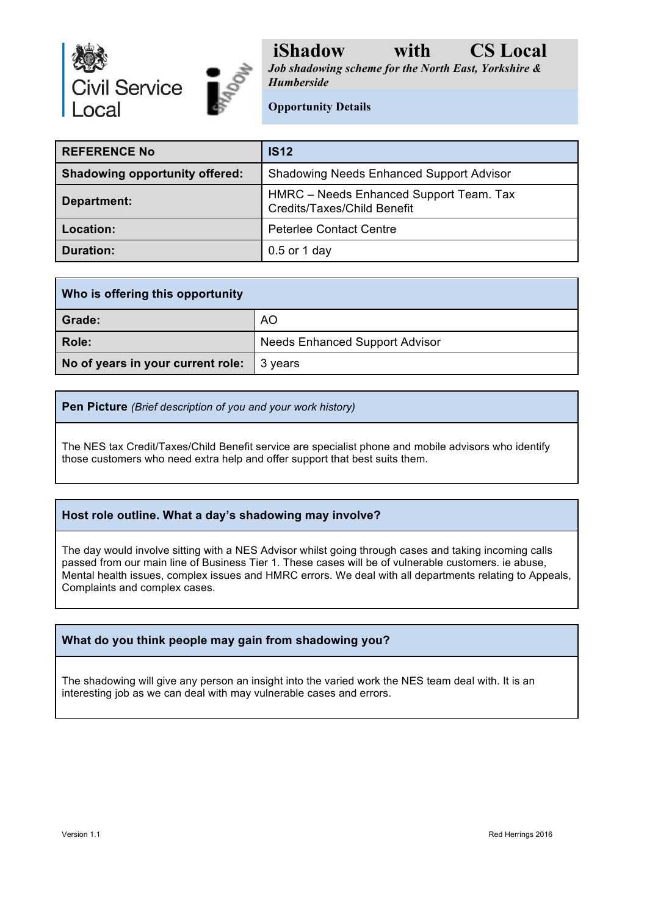

*Job shadowing scheme for the North East, Yorkshire & Humberside*

**Opportunity Details**

| <b>REFERENCE No</b>                   | <b>IS12</b>                                                            |
|---------------------------------------|------------------------------------------------------------------------|
| <b>Shadowing opportunity offered:</b> | <b>Shadowing Needs Enhanced Support Advisor</b>                        |
| Department:                           | HMRC - Needs Enhanced Support Team. Tax<br>Credits/Taxes/Child Benefit |
| Location:                             | <b>Peterlee Contact Centre</b>                                         |
| <b>Duration:</b>                      | $0.5$ or 1 day                                                         |

| Who is offering this opportunity  |                                       |
|-----------------------------------|---------------------------------------|
| Grade:                            | A <sub>O</sub>                        |
| Role:                             | <b>Needs Enhanced Support Advisor</b> |
| No of years in your current role: | 3 years                               |

**Pen Picture** *(Brief description of you and your work history)*

The NES tax Credit/Taxes/Child Benefit service are specialist phone and mobile advisors who identify those customers who need extra help and offer support that best suits them.

#### **Host role outline. What a day's shadowing may involve?**

The day would involve sitting with a NES Advisor whilst going through cases and taking incoming calls passed from our main line of Business Tier 1. These cases will be of vulnerable customers. ie abuse, Mental health issues, complex issues and HMRC errors. We deal with all departments relating to Appeals, Complaints and complex cases.

#### **What do you think people may gain from shadowing you?**

The shadowing will give any person an insight into the varied work the NES team deal with. It is an interesting job as we can deal with may vulnerable cases and errors.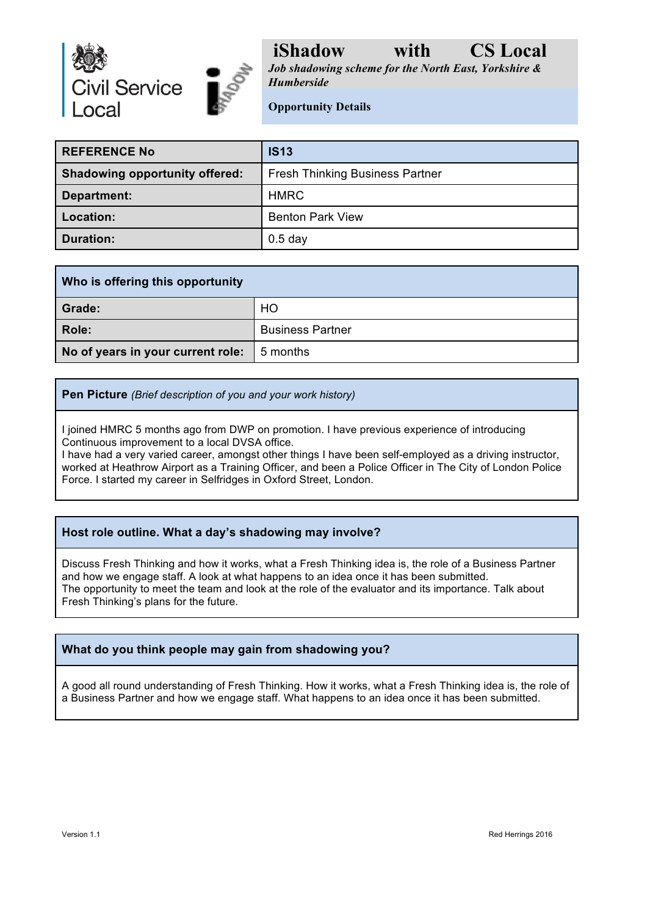

*Job shadowing scheme for the North East, Yorkshire & Humberside*

**Opportunity Details**

| <b>REFERENCE No</b>                   | <b>IS13</b>                            |
|---------------------------------------|----------------------------------------|
| <b>Shadowing opportunity offered:</b> | <b>Fresh Thinking Business Partner</b> |
| Department:                           | <b>HMRC</b>                            |
| Location:                             | <b>Benton Park View</b>                |
| <b>Duration:</b>                      | $0.5$ day                              |

| Who is offering this opportunity  |                         |
|-----------------------------------|-------------------------|
| Grade:                            | HO                      |
| Role:                             | <b>Business Partner</b> |
| No of years in your current role: | 5 months                |

**Pen Picture** *(Brief description of you and your work history)*

I joined HMRC 5 months ago from DWP on promotion. I have previous experience of introducing Continuous improvement to a local DVSA office.

I have had a very varied career, amongst other things I have been self-employed as a driving instructor, worked at Heathrow Airport as a Training Officer, and been a Police Officer in The City of London Police Force. I started my career in Selfridges in Oxford Street, London.

#### **Host role outline. What a day's shadowing may involve?**

Discuss Fresh Thinking and how it works, what a Fresh Thinking idea is, the role of a Business Partner and how we engage staff. A look at what happens to an idea once it has been submitted. The opportunity to meet the team and look at the role of the evaluator and its importance. Talk about Fresh Thinking's plans for the future.

#### **What do you think people may gain from shadowing you?**

A good all round understanding of Fresh Thinking. How it works, what a Fresh Thinking idea is, the role of a Business Partner and how we engage staff. What happens to an idea once it has been submitted.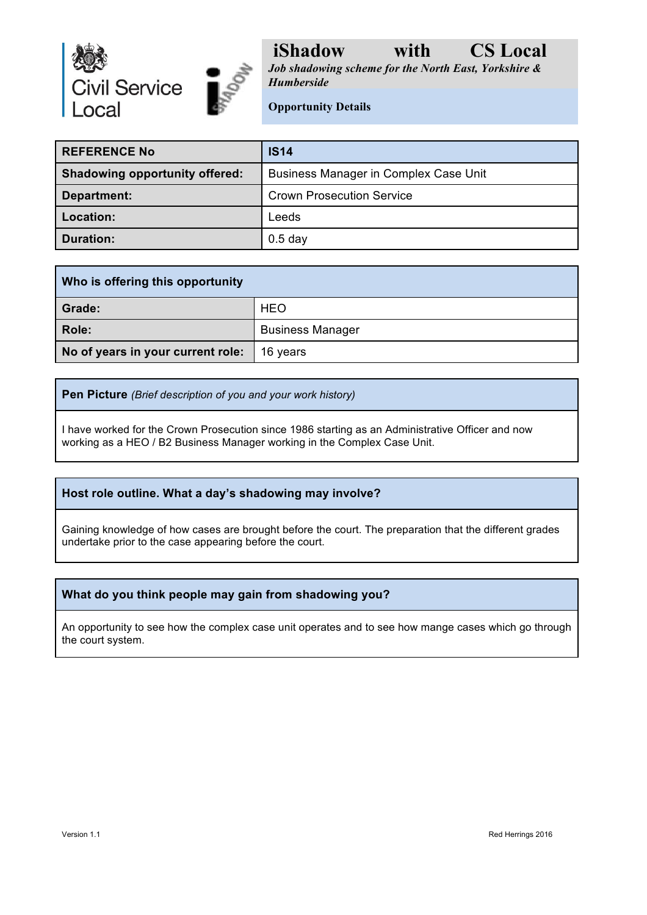

*Job shadowing scheme for the North East, Yorkshire & Humberside*

**Opportunity Details**

| <b>REFERENCE No</b>                   | <b>IS14</b>                           |
|---------------------------------------|---------------------------------------|
| <b>Shadowing opportunity offered:</b> | Business Manager in Complex Case Unit |
| Department:                           | <b>Crown Prosecution Service</b>      |
| Location:                             | Leeds                                 |
| <b>Duration:</b>                      | $0.5$ day                             |

| Who is offering this opportunity  |                         |
|-----------------------------------|-------------------------|
| Grade:                            | <b>HEO</b>              |
| Role:                             | <b>Business Manager</b> |
| No of years in your current role: | 16 years                |

**Pen Picture** *(Brief description of you and your work history)*

I have worked for the Crown Prosecution since 1986 starting as an Administrative Officer and now working as a HEO / B2 Business Manager working in the Complex Case Unit.

#### **Host role outline. What a day's shadowing may involve?**

Gaining knowledge of how cases are brought before the court. The preparation that the different grades undertake prior to the case appearing before the court.

#### **What do you think people may gain from shadowing you?**

An opportunity to see how the complex case unit operates and to see how mange cases which go through the court system.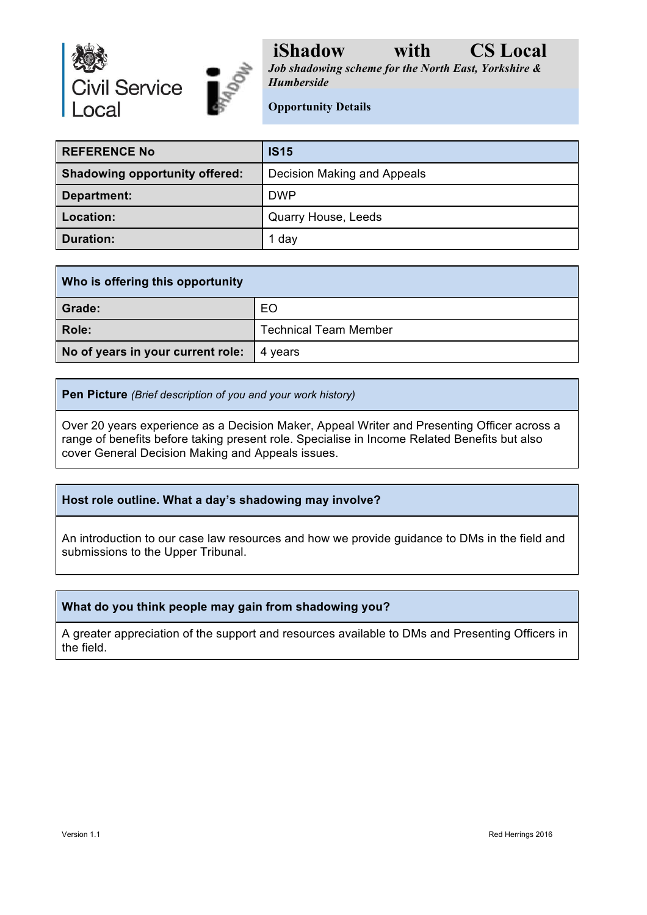

*Job shadowing scheme for the North East, Yorkshire & Humberside*

**Opportunity Details**

| <b>REFERENCE No.</b>                  | <b>IS15</b>                 |
|---------------------------------------|-----------------------------|
| <b>Shadowing opportunity offered:</b> | Decision Making and Appeals |
| Department:                           | <b>DWP</b>                  |
| Location:                             | Quarry House, Leeds         |
| <b>Duration:</b>                      | 1 day                       |

| Who is offering this opportunity  |                              |
|-----------------------------------|------------------------------|
| Grade:                            | EO                           |
| Role:                             | <b>Technical Team Member</b> |
| No of years in your current role: | 4 years                      |

**Pen Picture** *(Brief description of you and your work history)*

Over 20 years experience as a Decision Maker, Appeal Writer and Presenting Officer across a range of benefits before taking present role. Specialise in Income Related Benefits but also cover General Decision Making and Appeals issues.

#### **Host role outline. What a day's shadowing may involve?**

An introduction to our case law resources and how we provide guidance to DMs in the field and submissions to the Upper Tribunal.

#### **What do you think people may gain from shadowing you?**

A greater appreciation of the support and resources available to DMs and Presenting Officers in the field.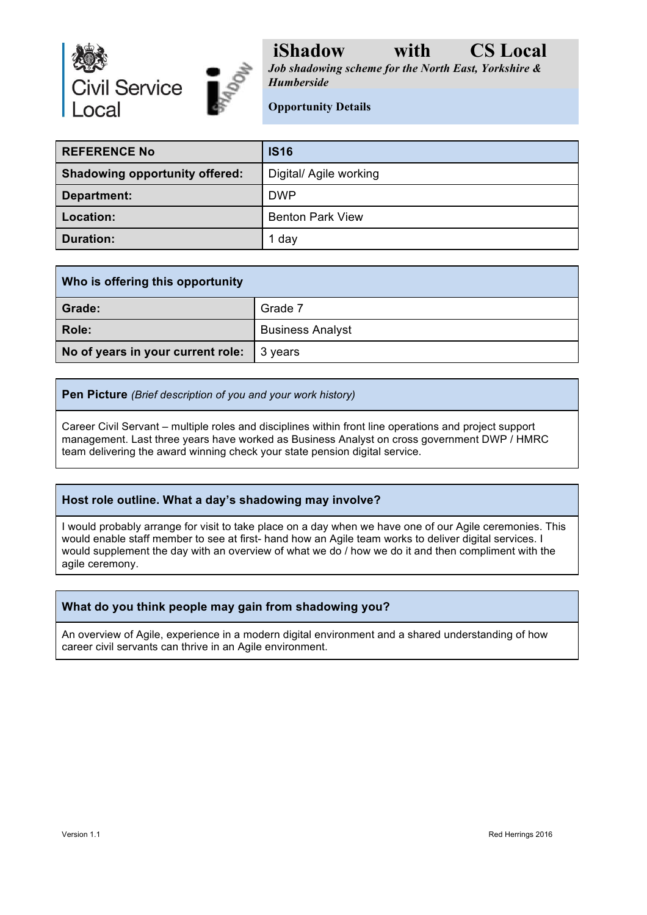

*Job shadowing scheme for the North East, Yorkshire & Humberside*

**Opportunity Details**

| <b>REFERENCE No</b>                   | <b>IS16</b>             |
|---------------------------------------|-------------------------|
| <b>Shadowing opportunity offered:</b> | Digital/ Agile working  |
| Department:                           | <b>DWP</b>              |
| Location:                             | <b>Benton Park View</b> |
| <b>Duration:</b>                      | 1 day                   |

| Who is offering this opportunity  |                         |
|-----------------------------------|-------------------------|
| Grade:                            | Grade 7                 |
| Role:                             | <b>Business Analyst</b> |
| No of years in your current role: | 3 years                 |

**Pen Picture** *(Brief description of you and your work history)*

Career Civil Servant – multiple roles and disciplines within front line operations and project support management. Last three years have worked as Business Analyst on cross government DWP / HMRC team delivering the award winning check your state pension digital service.

#### **Host role outline. What a day's shadowing may involve?**

I would probably arrange for visit to take place on a day when we have one of our Agile ceremonies. This would enable staff member to see at first- hand how an Agile team works to deliver digital services. I would supplement the day with an overview of what we do / how we do it and then compliment with the agile ceremony.

#### **What do you think people may gain from shadowing you?**

An overview of Agile, experience in a modern digital environment and a shared understanding of how career civil servants can thrive in an Agile environment.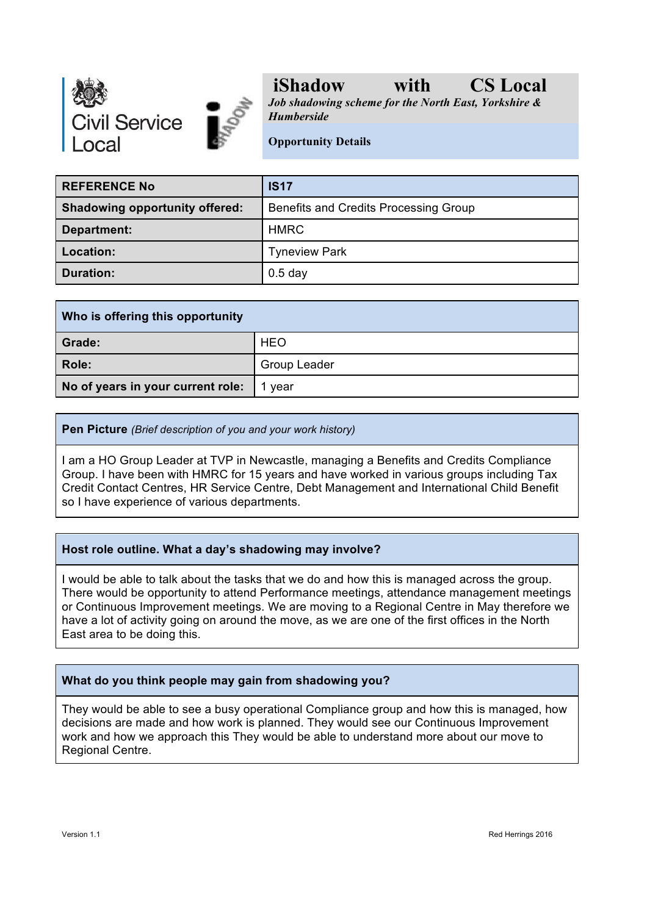



*Job shadowing scheme for the North East, Yorkshire & Humberside*

**Opportunity Details**

| <b>REFERENCE No</b>                   | <b>IS17</b>                           |
|---------------------------------------|---------------------------------------|
| <b>Shadowing opportunity offered:</b> | Benefits and Credits Processing Group |
| Department:                           | <b>HMRC</b>                           |
| Location:                             | <b>Tyneview Park</b>                  |
| <b>Duration:</b>                      | $0.5$ day                             |

| Who is offering this opportunity  |                     |
|-----------------------------------|---------------------|
| Grade:                            | <b>HEO</b>          |
| Role:                             | <b>Group Leader</b> |
| No of years in your current role: | vear                |

#### **Pen Picture** *(Brief description of you and your work history)*

I am a HO Group Leader at TVP in Newcastle, managing a Benefits and Credits Compliance Group. I have been with HMRC for 15 years and have worked in various groups including Tax Credit Contact Centres, HR Service Centre, Debt Management and International Child Benefit so I have experience of various departments.

#### **Host role outline. What a day's shadowing may involve?**

I would be able to talk about the tasks that we do and how this is managed across the group. There would be opportunity to attend Performance meetings, attendance management meetings or Continuous Improvement meetings. We are moving to a Regional Centre in May therefore we have a lot of activity going on around the move, as we are one of the first offices in the North East area to be doing this.

#### **What do you think people may gain from shadowing you?**

They would be able to see a busy operational Compliance group and how this is managed, how decisions are made and how work is planned. They would see our Continuous Improvement work and how we approach this They would be able to understand more about our move to Regional Centre.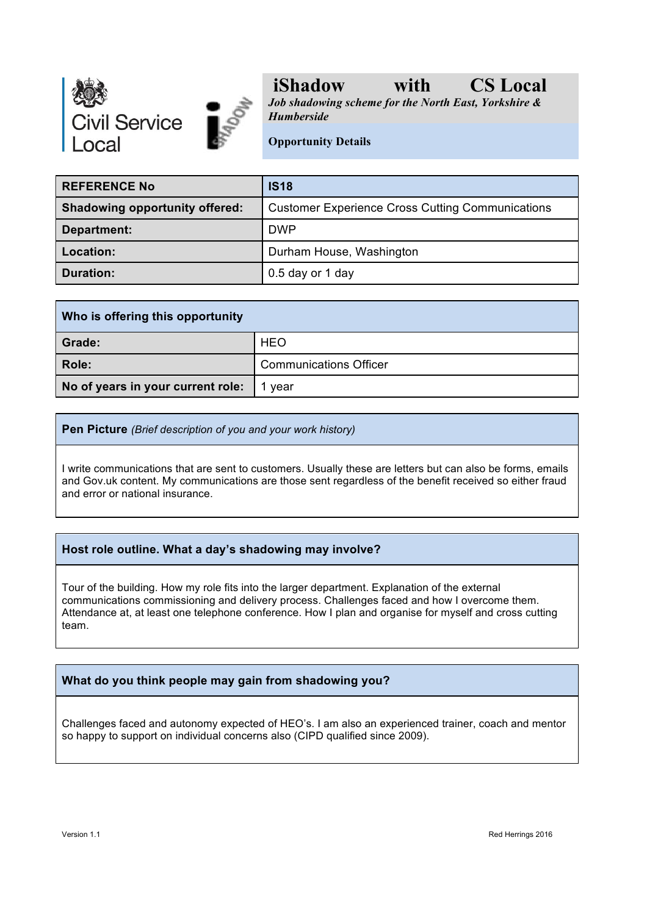



*Job shadowing scheme for the North East, Yorkshire & Humberside*

**Opportunity Details**

| <b>REFERENCE No</b>                   | <b>IS18</b>                                             |
|---------------------------------------|---------------------------------------------------------|
| <b>Shadowing opportunity offered:</b> | <b>Customer Experience Cross Cutting Communications</b> |
| Department:                           | <b>DWP</b>                                              |
| Location:                             | Durham House, Washington                                |
| <b>Duration:</b>                      | 0.5 day or 1 day                                        |

| Who is offering this opportunity  |                               |
|-----------------------------------|-------------------------------|
| Grade:                            | <b>HEO</b>                    |
| Role:                             | <b>Communications Officer</b> |
| No of years in your current role: | vear                          |

**Pen Picture** *(Brief description of you and your work history)*

I write communications that are sent to customers. Usually these are letters but can also be forms, emails and Gov.uk content. My communications are those sent regardless of the benefit received so either fraud and error or national insurance.

#### **Host role outline. What a day's shadowing may involve?**

Tour of the building. How my role fits into the larger department. Explanation of the external communications commissioning and delivery process. Challenges faced and how I overcome them. Attendance at, at least one telephone conference. How I plan and organise for myself and cross cutting team.

#### **What do you think people may gain from shadowing you?**

Challenges faced and autonomy expected of HEO's. I am also an experienced trainer, coach and mentor so happy to support on individual concerns also (CIPD qualified since 2009).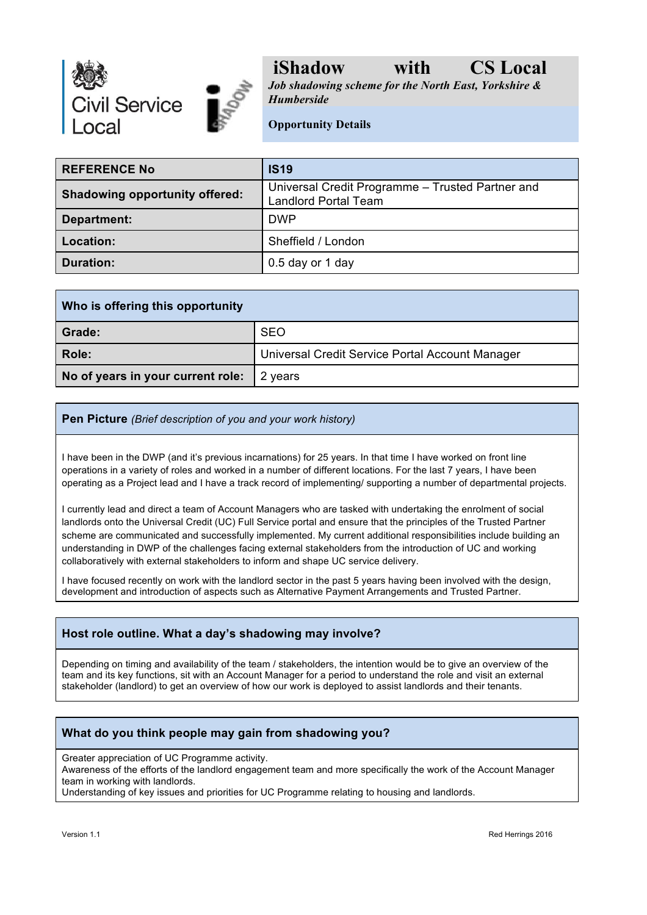

*Job shadowing scheme for the North East, Yorkshire & Humberside*

**Opportunity Details**

| <b>REFERENCE No</b>                   | <b>IS19</b>                                                                     |
|---------------------------------------|---------------------------------------------------------------------------------|
| <b>Shadowing opportunity offered:</b> | Universal Credit Programme - Trusted Partner and<br><b>Landlord Portal Team</b> |
| Department:                           | <b>DWP</b>                                                                      |
| Location:                             | Sheffield / London                                                              |
| Duration:                             | 0.5 day or 1 day                                                                |

| Who is offering this opportunity  |                                                 |
|-----------------------------------|-------------------------------------------------|
| Grade:                            | <b>SEO</b>                                      |
| Role:                             | Universal Credit Service Portal Account Manager |
| No of years in your current role: | 2 years                                         |

#### **Pen Picture** *(Brief description of you and your work history)*

I have been in the DWP (and it's previous incarnations) for 25 years. In that time I have worked on front line operations in a variety of roles and worked in a number of different locations. For the last 7 years, I have been operating as a Project lead and I have a track record of implementing/ supporting a number of departmental projects.

I currently lead and direct a team of Account Managers who are tasked with undertaking the enrolment of social landlords onto the Universal Credit (UC) Full Service portal and ensure that the principles of the Trusted Partner scheme are communicated and successfully implemented. My current additional responsibilities include building an understanding in DWP of the challenges facing external stakeholders from the introduction of UC and working collaboratively with external stakeholders to inform and shape UC service delivery.

I have focused recently on work with the landlord sector in the past 5 years having been involved with the design, development and introduction of aspects such as Alternative Payment Arrangements and Trusted Partner.

#### **Host role outline. What a day's shadowing may involve?**

Depending on timing and availability of the team / stakeholders, the intention would be to give an overview of the team and its key functions, sit with an Account Manager for a period to understand the role and visit an external stakeholder (landlord) to get an overview of how our work is deployed to assist landlords and their tenants.

#### **What do you think people may gain from shadowing you?**

Greater appreciation of UC Programme activity.

Awareness of the efforts of the landlord engagement team and more specifically the work of the Account Manager team in working with landlords.

Understanding of key issues and priorities for UC Programme relating to housing and landlords.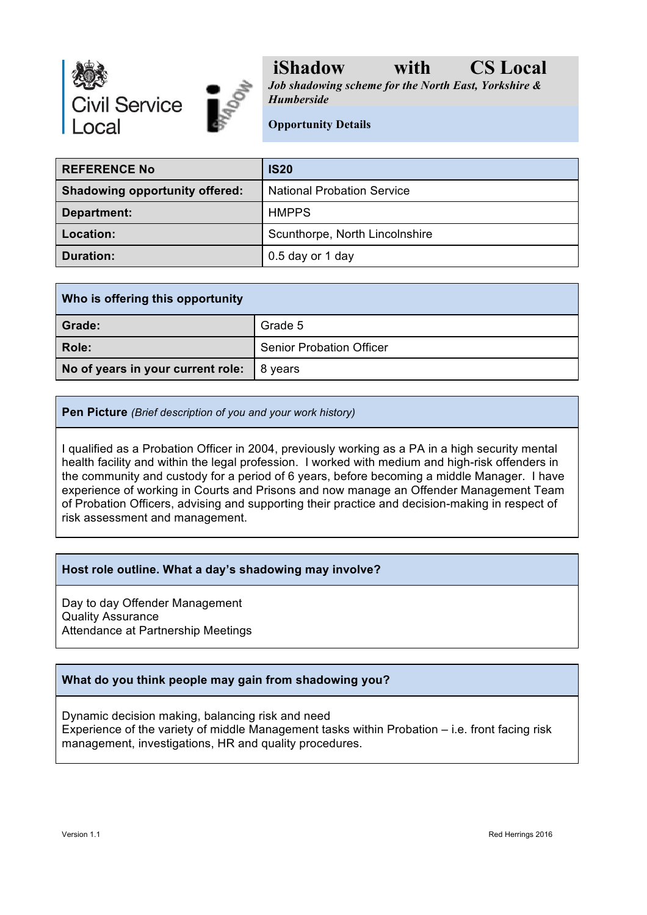



*Job shadowing scheme for the North East, Yorkshire & Humberside*

**Opportunity Details**

| <b>REFERENCE No</b>                   | <b>IS20</b>                       |
|---------------------------------------|-----------------------------------|
| <b>Shadowing opportunity offered:</b> | <b>National Probation Service</b> |
| Department:                           | <b>HMPPS</b>                      |
| Location:                             | Scunthorpe, North Lincolnshire    |
| <b>Duration:</b>                      | 0.5 day or 1 day                  |

| Who is offering this opportunity  |                                 |
|-----------------------------------|---------------------------------|
| Grade:                            | Grade 5                         |
| Role:                             | <b>Senior Probation Officer</b> |
| No of years in your current role: | 8 years                         |

#### **Pen Picture** *(Brief description of you and your work history)*

I qualified as a Probation Officer in 2004, previously working as a PA in a high security mental health facility and within the legal profession. I worked with medium and high-risk offenders in the community and custody for a period of 6 years, before becoming a middle Manager. I have experience of working in Courts and Prisons and now manage an Offender Management Team of Probation Officers, advising and supporting their practice and decision-making in respect of risk assessment and management.

#### **Host role outline. What a day's shadowing may involve?**

Day to day Offender Management Quality Assurance Attendance at Partnership Meetings

#### **What do you think people may gain from shadowing you?**

Dynamic decision making, balancing risk and need Experience of the variety of middle Management tasks within Probation – i.e. front facing risk management, investigations, HR and quality procedures.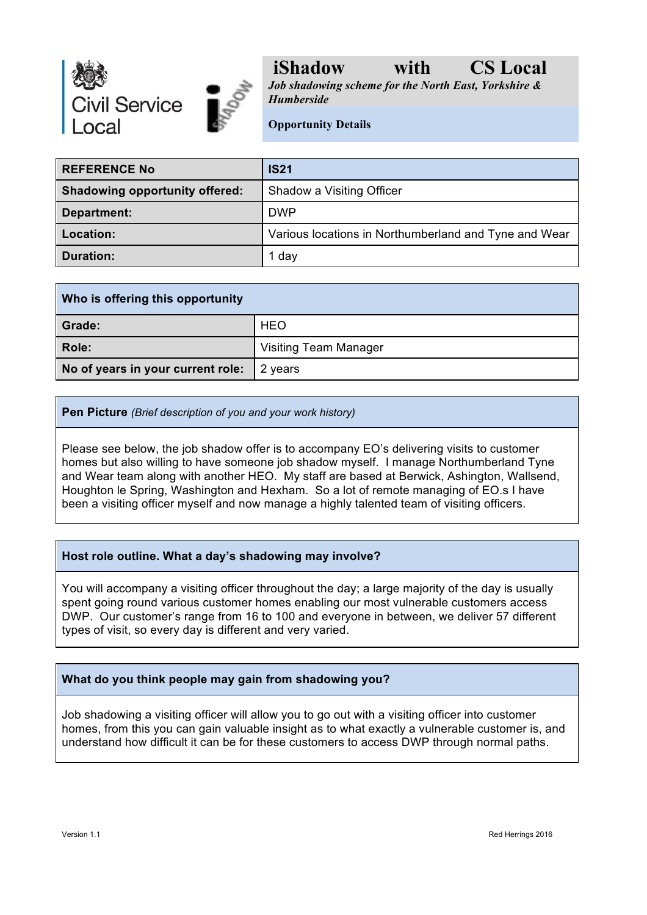

*Job shadowing scheme for the North East, Yorkshire & Humberside*

**Opportunity Details**

| <b>REFERENCE No</b>                   | <b>IS21</b>                                           |
|---------------------------------------|-------------------------------------------------------|
| <b>Shadowing opportunity offered:</b> | Shadow a Visiting Officer                             |
| Department:                           | <b>DWP</b>                                            |
| Location:                             | Various locations in Northumberland and Tyne and Wear |
| <b>Duration:</b>                      | 1 day                                                 |

| Who is offering this opportunity  |                              |
|-----------------------------------|------------------------------|
| Grade:                            | <b>HEO</b>                   |
| Role:                             | <b>Visiting Team Manager</b> |
| No of years in your current role: | 2 years                      |

#### **Pen Picture** *(Brief description of you and your work history)*

Please see below, the job shadow offer is to accompany EO's delivering visits to customer homes but also willing to have someone job shadow myself. I manage Northumberland Tyne and Wear team along with another HEO. My staff are based at Berwick, Ashington, Wallsend, Houghton le Spring, Washington and Hexham. So a lot of remote managing of EO.s I have been a visiting officer myself and now manage a highly talented team of visiting officers.

#### **Host role outline. What a day's shadowing may involve?**

You will accompany a visiting officer throughout the day; a large majority of the day is usually spent going round various customer homes enabling our most vulnerable customers access DWP. Our customer's range from 16 to 100 and everyone in between, we deliver 57 different types of visit, so every day is different and very varied.

#### **What do you think people may gain from shadowing you?**

Job shadowing a visiting officer will allow you to go out with a visiting officer into customer homes, from this you can gain valuable insight as to what exactly a vulnerable customer is, and understand how difficult it can be for these customers to access DWP through normal paths.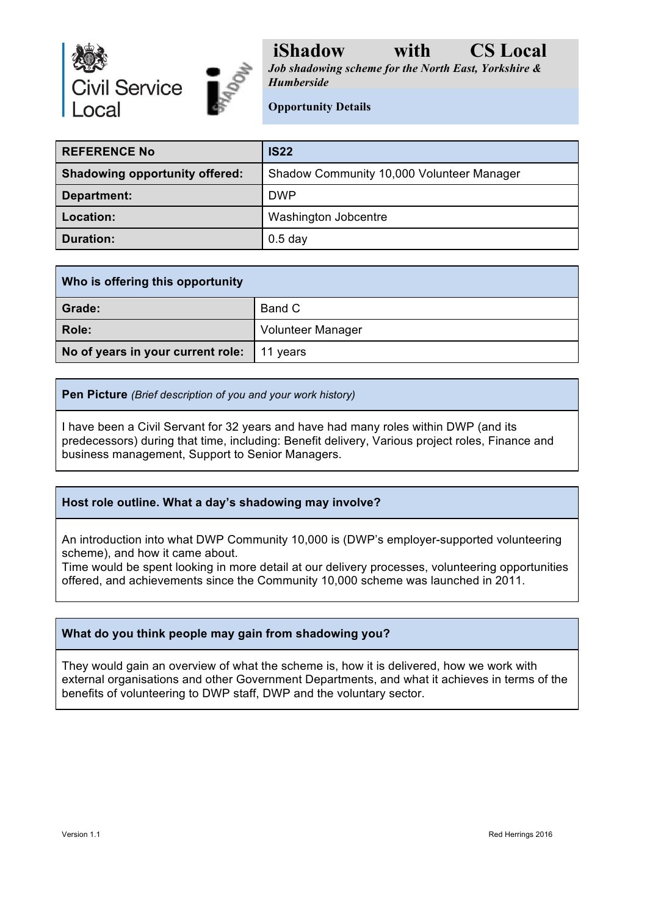

*Job shadowing scheme for the North East, Yorkshire & Humberside*

**Opportunity Details**

| <b>REFERENCE No.</b>                  | <b>IS22</b>                               |
|---------------------------------------|-------------------------------------------|
| <b>Shadowing opportunity offered:</b> | Shadow Community 10,000 Volunteer Manager |
| Department:                           | <b>DWP</b>                                |
| Location:                             | Washington Jobcentre                      |
| <b>Duration:</b>                      | $0.5$ day                                 |

| Who is offering this opportunity  |                          |
|-----------------------------------|--------------------------|
| Grade:                            | Band C                   |
| Role:                             | <b>Volunteer Manager</b> |
| No of years in your current role: | $\blacksquare$ 11 years  |

**Pen Picture** *(Brief description of you and your work history)*

I have been a Civil Servant for 32 years and have had many roles within DWP (and its predecessors) during that time, including: Benefit delivery, Various project roles, Finance and business management, Support to Senior Managers.

#### **Host role outline. What a day's shadowing may involve?**

An introduction into what DWP Community 10,000 is (DWP's employer-supported volunteering scheme), and how it came about.

Time would be spent looking in more detail at our delivery processes, volunteering opportunities offered, and achievements since the Community 10,000 scheme was launched in 2011.

#### **What do you think people may gain from shadowing you?**

They would gain an overview of what the scheme is, how it is delivered, how we work with external organisations and other Government Departments, and what it achieves in terms of the benefits of volunteering to DWP staff, DWP and the voluntary sector.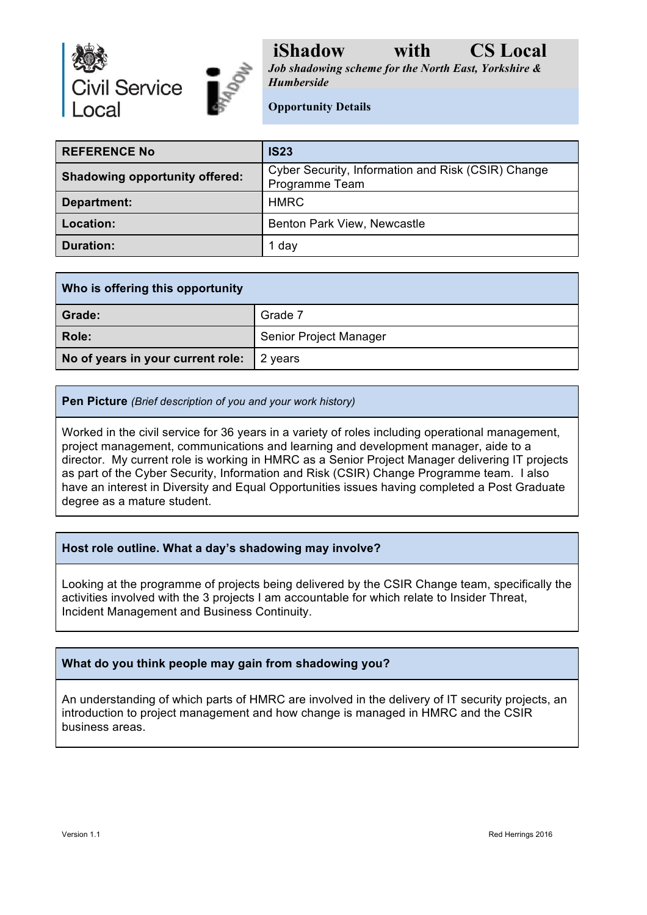

*Job shadowing scheme for the North East, Yorkshire & Humberside*

**Opportunity Details**

| <b>REFERENCE No</b>                   | <b>IS23</b>                                                          |
|---------------------------------------|----------------------------------------------------------------------|
| <b>Shadowing opportunity offered:</b> | Cyber Security, Information and Risk (CSIR) Change<br>Programme Team |
| Department:                           | <b>HMRC</b>                                                          |
| Location:                             | Benton Park View, Newcastle                                          |
| <b>Duration:</b>                      | 1 day                                                                |

| Who is offering this opportunity  |                        |
|-----------------------------------|------------------------|
| Grade:                            | Grade 7                |
| Role:                             | Senior Project Manager |
| No of years in your current role: | 2 years                |

#### **Pen Picture** *(Brief description of you and your work history)*

Worked in the civil service for 36 years in a variety of roles including operational management, project management, communications and learning and development manager, aide to a director. My current role is working in HMRC as a Senior Project Manager delivering IT projects as part of the Cyber Security, Information and Risk (CSIR) Change Programme team. I also have an interest in Diversity and Equal Opportunities issues having completed a Post Graduate degree as a mature student.

#### **Host role outline. What a day's shadowing may involve?**

Looking at the programme of projects being delivered by the CSIR Change team, specifically the activities involved with the 3 projects I am accountable for which relate to Insider Threat, Incident Management and Business Continuity.

#### **What do you think people may gain from shadowing you?**

An understanding of which parts of HMRC are involved in the delivery of IT security projects, an introduction to project management and how change is managed in HMRC and the CSIR business areas.